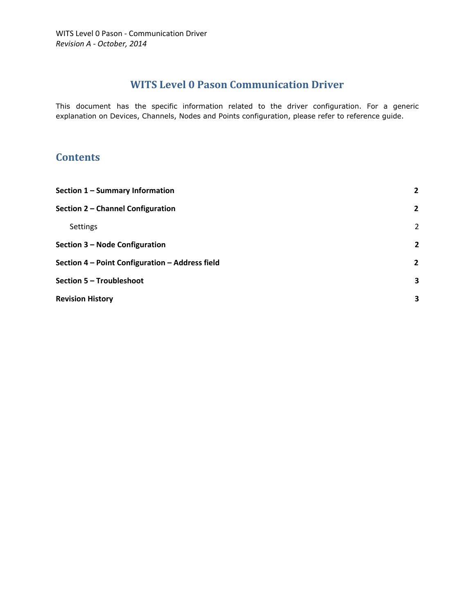# **WITS Level 0 Pason Communication Driver**

This document has the specific information related to the driver configuration. For a generic explanation on Devices, Channels, Nodes and Points configuration, please refer to reference guide.

## **Contents**

| Section 1 - Summary Information                 | $\overline{2}$ |
|-------------------------------------------------|----------------|
| Section 2 - Channel Configuration               | $\mathbf{2}$   |
| <b>Settings</b>                                 | 2              |
| Section 3 – Node Configuration                  | $\overline{2}$ |
| Section 4 - Point Configuration - Address field | $\overline{2}$ |
| Section 5 - Troubleshoot                        | 3              |
| <b>Revision History</b>                         | 3              |
|                                                 |                |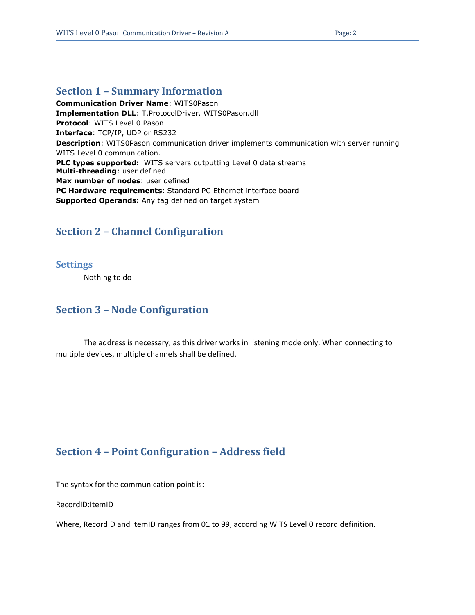### <span id="page-1-0"></span>**Section 1 – Summary Information**

**Communication Driver Name**: WITS0Pason **Implementation DLL**: T.ProtocolDriver. WITS0Pason.dll **Protocol**: WITS Level 0 Pason **Interface**: TCP/IP, UDP or RS232 **Description**: WITS0Pason communication driver implements communication with server running WITS Level 0 communication. **PLC types supported:** WITS servers outputting Level 0 data streams **Multi-threading**: user defined **Max number of nodes**: user defined **PC Hardware requirements**: Standard PC Ethernet interface board **Supported Operands:** Any tag defined on target system

# <span id="page-1-1"></span>**Section 2 – Channel Configuration**

#### <span id="page-1-2"></span>**Settings**

Nothing to do

### <span id="page-1-3"></span>**Section 3 – Node Configuration**

The address is necessary, as this driver works in listening mode only. When connecting to multiple devices, multiple channels shall be defined.

### <span id="page-1-4"></span>**Section 4 – Point Configuration – Address field**

The syntax for the communication point is:

RecordID:ItemID

Where, RecordID and ItemID ranges from 01 to 99, according WITS Level 0 record definition.